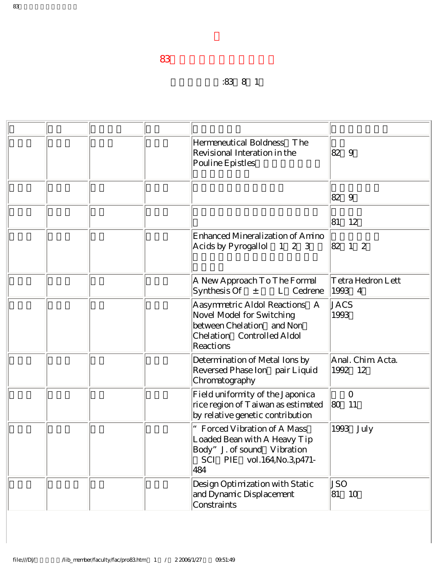## 升等生效日期:83年8月1日

|  |  | Hermeneutical Boldness The<br>Revisional Interation in the<br>Pouline Epistles                                                        | 82 9                        |
|--|--|---------------------------------------------------------------------------------------------------------------------------------------|-----------------------------|
|  |  |                                                                                                                                       | 82 9                        |
|  |  |                                                                                                                                       | 81<br>12                    |
|  |  | Enhanced Mineralization of Amino<br>Acids by Pyrogallol 1 2 3                                                                         | $ 82 \t1 \t2$               |
|  |  | A New Approach To The Formal<br>Synthesis Of<br>$\pm$<br>L Cedrene                                                                    | Tetra Hedron Lett<br>1993 4 |
|  |  | Aasymmetric Aldol Reactions<br>A<br>Novel Model for Switching<br>between Chelation and Non<br>Chelation Controlled Aldol<br>Reactions | <b>JACS</b><br>1993         |
|  |  | Determination of Metal Ions by<br>Reversed Phase Ion pair Liquid<br>Chromatography                                                    | Anal. Chim Acta.<br>1992 12 |
|  |  | Field uniformity of the Japonica<br>rice region of T aiwan as estimated<br>by relative genetic contribution                           | $\overline{O}$<br> 80<br>11 |
|  |  | Forced Vibration of A Mass<br>Loaded Bean with A Heavy Tip<br>Body" J. of sound Vibration<br>SCI PIE vol.164, No.3, p471-<br>484      | 1993 July                   |
|  |  | Design Optimization with Static<br>and Dynamic Displacement<br>Constraints                                                            | JSO<br>81<br>10             |